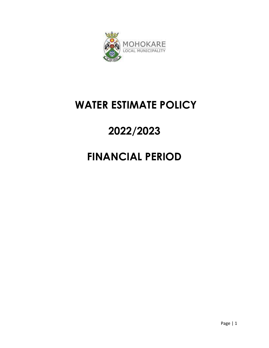

## **WATER ESTIMATE POLICY**

# **2022/2023**

# **FINANCIAL PERIOD**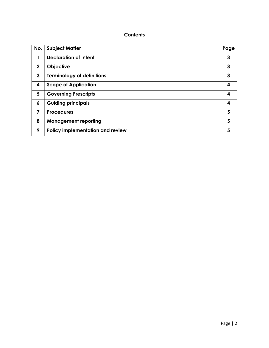## **Contents**

| No.          | <b>Subject Matter</b>             | Page |
|--------------|-----------------------------------|------|
| 1            | <b>Declaration of Intent</b>      | 3    |
| $\mathbf{2}$ | Objective                         | 3    |
| 3            | <b>Terminology of definitions</b> | 3    |
| 4            | <b>Scope of Application</b>       | 4    |
| 5            | <b>Governing Prescripts</b>       | 4    |
| 6            | <b>Guiding principals</b>         | 4    |
| 7            | <b>Procedures</b>                 | 5    |
| 8            | <b>Management reporting</b>       | 5    |
| 9            | Policy implementation and review  | 5    |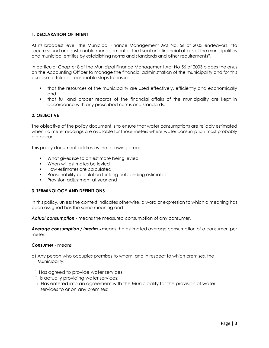### **1. DECLARATION OF INTENT**

At its broadest level, the Municipal Finance Management Act No. 56 of 2003 endeavors' "to secure sound and sustainable management of the fiscal and financial affairs of the municipalities and municipal entities by establishing norms and standards and other requirements".

In particular Chapter 8 of the Municipal Finance Management Act No.56 of 2003 places the onus on the Accounting Officer to manage the financial administration of the municipality and for this purpose to take all reasonable steps to ensure:

- that the resources of the municipality are used effectively, efficiently and economically and
- that full and proper records of the financial affairs of the municipality are kept in accordance with any prescribed norms and standards.

#### **2. OBJECTIVE**

The objective of the policy document is to ensure that water consumptions are reliably estimated when no meter readings are available for those meters where water consumption most probably did occur.

This policy document addresses the following areas:

- **What gives rise to an estimate being levied**
- **When will estimates be levied**
- **How estimates are calculated**
- Reasonability calculation for long outstanding estimates
- **Provision adjustment at year end**

#### **3. TERMINOLOGY AND DEFINITIONS**

In this policy, unless the context indicates otherwise, a word or expression to which a meaning has been assigned has the same meaning and -

*Actual consumption* - means the measured consumption of any consumer.

*Average consumption / interim* ‐ means the estimated average consumption of a consumer, per meter.

#### *Consumer* - means

- a) Any person who occupies premises to whom, and in respect to which premises, the Municipality:
	- i. Has agreed to provide water services;
	- ii. Is actually providing water services;
	- iii. Has entered into an agreement with the Municipality for the provision of water services to or on any premises;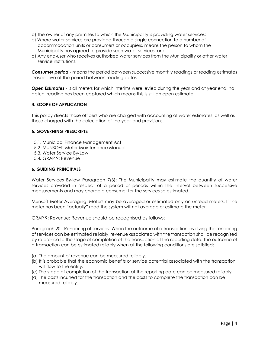- b) The owner of any premises to which the Municipality is providing water services;
- c) Where water services are provided through a single connection to a number of accommodation units or consumers or occupiers, means the person to whom the Municipality has agreed to provide such water services; and
- d) Any end‐user who receives authorised water services from the Municipality or other water service institutions.

**Consumer period** - means the period between successive monthly readings or reading estimates irrespective of the period between reading dates.

**Open Estimates** - Is all meters for which interims were levied during the year and at year end, no actual reading has been captured which means this is still an open estimate.

#### **4. SCOPE OF APPLICATION**

This policy directs those officers who are charged with accounting of water estimates, as well as those charged with the calculation of the year‐end provisions.

#### **5. GOVERNING PRESCRIPTS**

- 5.1. Municipal Finance Management Act
- 5.2. MUNSOFT: Meter Maintenance Manual
- 5.3. Water Service By‐Law
- 5.4**.** GRAP 9: Revenue

#### **6. GUIDING PRINCIPALS**

Water Services By-law Paragraph 7(3): The Municipality may estimate the quantity of water services provided in respect of a period or periods within the interval between successive measurements and may charge a consumer for the services so estimated.

Munsoft Meter Averaging: Meters may be averaged or estimated only on unread meters. If the meter has been "actually" read the system will not average or estimate the meter.

GRAP 9: Revenue: Revenue should be recognised as follows:

Paragraph 20 ‐ Rendering of services: When the outcome of a transaction involving the rendering of services can be estimated reliably, revenue associated with the transaction shall be recognised by reference to the stage of completion of the transaction at the reporting date. The outcome of a transaction can be estimated reliably when all the following conditions are satisfied:

- (a) The amount of revenue can be measured reliably.
- (b) It is probable that the economic benefits or service potential associated with the transaction will flow to the entity.
- (c) The stage of completion of the transaction at the reporting date can be measured reliably.
- (d) The costs incurred for the transaction and the costs to complete the transaction can be measured reliably.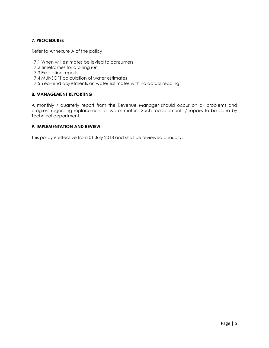### **7. PROCEDURES**

Refer to Annexure A of the policy

- 7.1 When will estimates be levied to consumers
- 7.2 Timeframes for a billing run
- 7.3 Exception reports
- 7.4 MUNSOFT calculation of water estimates
- 7.5 Year-end adjustments on water estimates with no actual reading

#### **8. MANAGEMENT REPORTING**

A monthly / quarterly report from the Revenue Manager should occur on all problems and progress regarding replacement of water meters. Such replacements / repairs to be done by Technical department.

#### **9. IMPLEMENTATION AND REVIEW**

This policy is effective from 01 July 2018 and shall be reviewed annually.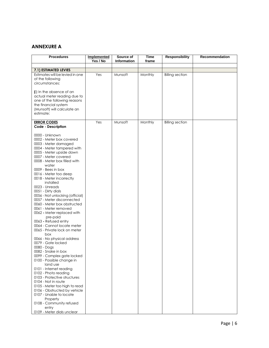### **ANNEXURE A**

| <b>Procedures</b>                                                                                                                                                                                                                                                                                                                                                                                                                                                                                                                                                                                                                                                                                                                                                                                                                                                                                                                                                                                                                                 | <b>Implemented</b><br>Yes / No | Source of<br>Information | <b>Time</b><br>frame | <b>Responsibility</b>  | Recommendation |
|---------------------------------------------------------------------------------------------------------------------------------------------------------------------------------------------------------------------------------------------------------------------------------------------------------------------------------------------------------------------------------------------------------------------------------------------------------------------------------------------------------------------------------------------------------------------------------------------------------------------------------------------------------------------------------------------------------------------------------------------------------------------------------------------------------------------------------------------------------------------------------------------------------------------------------------------------------------------------------------------------------------------------------------------------|--------------------------------|--------------------------|----------------------|------------------------|----------------|
|                                                                                                                                                                                                                                                                                                                                                                                                                                                                                                                                                                                                                                                                                                                                                                                                                                                                                                                                                                                                                                                   |                                |                          |                      |                        |                |
| 7.1) ESTIMATED LEVIES                                                                                                                                                                                                                                                                                                                                                                                                                                                                                                                                                                                                                                                                                                                                                                                                                                                                                                                                                                                                                             |                                |                          |                      |                        |                |
| Estimates will be levied in one<br>of the following<br>circumstances:                                                                                                                                                                                                                                                                                                                                                                                                                                                                                                                                                                                                                                                                                                                                                                                                                                                                                                                                                                             | Yes                            | Munsoft                  | Monthly              | <b>Billing section</b> |                |
| (i) In the absence of an<br>actual meter reading due to<br>one of the following reasons<br>the financial system<br>(Munsoft) will calculate an<br>estimate:                                                                                                                                                                                                                                                                                                                                                                                                                                                                                                                                                                                                                                                                                                                                                                                                                                                                                       |                                |                          |                      |                        |                |
| <b>ERROR CODES</b><br>Code - Description                                                                                                                                                                                                                                                                                                                                                                                                                                                                                                                                                                                                                                                                                                                                                                                                                                                                                                                                                                                                          | Yes                            | Munsoft                  | Monthly              | <b>Billing section</b> |                |
| 0000 - Unknown<br>0002 - Meter box covered<br>0003 - Meter damaged<br>0004 - Meter tampered with<br>0005 - Meter upside down<br>0007 - Meter covered<br>0008 - Meter box filled with<br>water<br>0009 - Bees in box<br>0016 - Meter too deep<br>0018 - Meter incorrectly<br>installed<br>0023 - Unreads<br>0051 - Dirty dials<br>0056 - Not unlocking (official)<br>0057 - Meter disconnected<br>0060 - Meter box obstructed<br>0061 - Meter removed<br>0062 - Meter replaced with<br>pre-paid<br>0063 - Refused entry<br>0064 - Cannot locate meter<br>0065 - Private lock on meter<br>box<br>0066 - No physical address<br>0079 - Gate locked<br>0080 - Dogs<br>0082 - Snake in box<br>0099 - Complex gate locked<br>0100 - Possible change in<br>land use<br>0101 - Internet reading<br>0102 - Photo reading<br>0103 - Protective structures<br>0104 - Not in route<br>0105 - Meter too high to read<br>0106 - Obstructed by vehicle<br>0107 - Unable to locate<br>Property<br>0108 - Community refused<br>entry<br>0109 - Meter dials unclear |                                |                          |                      |                        |                |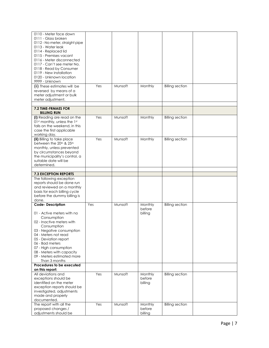| 0111 - Glass broken<br>0112 - No meter, straight pipe<br>0113 - Water leak<br>0114 - Replaced lid<br>0115 - Premises vacant<br>0116 - Meter disconnected<br>0117 - Can't see meter No.<br>0118 - Read by Consumer<br>0119 - New installation<br>0120 - Unknown location<br>9999 - Unknown<br>Yes<br>Munsoft<br>Monthly<br><b>Billing section</b><br>(ii) These estimates will be<br>reversed by means of a<br>meter adjustment or bulk<br>meter adjustment.<br><b>7.2 TIME-FRMAES FOR</b><br><b>BILLING RUN</b><br>Yes<br>(i) Reading are read on the<br>Munsoft<br>Monthly<br><b>Billing section</b><br>01st monthly, unless the 1st<br>falls on the weekend, in this<br>case the first applicable<br>working day.<br>(ii) Billing to take place<br>Yes<br>Munsoft<br>Monthly<br><b>Billing section</b><br>between the 20th & 25th<br>monthly, unless prevented<br>by circumstances beyond<br>the municipality's control, a<br>suitable date will be<br>determined.<br><b>7.3 EXCEPTION REPORTS</b><br>The following exception<br>reports should be done run<br>and reviewed on a monthly<br>basis for each billing cycle<br>before the dummy billing is<br>done.<br>Code-Description<br><b>Billing section</b><br>Yes<br>Munsoft<br>Monthly<br>before<br>01 - Active meters with no<br>billing<br>Consumption<br>02 - Inactive meters with<br>Consumption<br>03 - Negative consumption<br>04 - Meters not read<br>05 - Deviation report<br>06 - Bad meters<br>07 - High consumption<br>08 - Meters with capacity<br>09 - Meters estimated more |                    |  |  |  |
|--------------------------------------------------------------------------------------------------------------------------------------------------------------------------------------------------------------------------------------------------------------------------------------------------------------------------------------------------------------------------------------------------------------------------------------------------------------------------------------------------------------------------------------------------------------------------------------------------------------------------------------------------------------------------------------------------------------------------------------------------------------------------------------------------------------------------------------------------------------------------------------------------------------------------------------------------------------------------------------------------------------------------------------------------------------------------------------------------------------------------------------------------------------------------------------------------------------------------------------------------------------------------------------------------------------------------------------------------------------------------------------------------------------------------------------------------------------------------------------------------------------------------------------------------|--------------------|--|--|--|
|                                                                                                                                                                                                                                                                                                                                                                                                                                                                                                                                                                                                                                                                                                                                                                                                                                                                                                                                                                                                                                                                                                                                                                                                                                                                                                                                                                                                                                                                                                                                                  |                    |  |  |  |
|                                                                                                                                                                                                                                                                                                                                                                                                                                                                                                                                                                                                                                                                                                                                                                                                                                                                                                                                                                                                                                                                                                                                                                                                                                                                                                                                                                                                                                                                                                                                                  |                    |  |  |  |
|                                                                                                                                                                                                                                                                                                                                                                                                                                                                                                                                                                                                                                                                                                                                                                                                                                                                                                                                                                                                                                                                                                                                                                                                                                                                                                                                                                                                                                                                                                                                                  |                    |  |  |  |
|                                                                                                                                                                                                                                                                                                                                                                                                                                                                                                                                                                                                                                                                                                                                                                                                                                                                                                                                                                                                                                                                                                                                                                                                                                                                                                                                                                                                                                                                                                                                                  |                    |  |  |  |
|                                                                                                                                                                                                                                                                                                                                                                                                                                                                                                                                                                                                                                                                                                                                                                                                                                                                                                                                                                                                                                                                                                                                                                                                                                                                                                                                                                                                                                                                                                                                                  |                    |  |  |  |
|                                                                                                                                                                                                                                                                                                                                                                                                                                                                                                                                                                                                                                                                                                                                                                                                                                                                                                                                                                                                                                                                                                                                                                                                                                                                                                                                                                                                                                                                                                                                                  |                    |  |  |  |
|                                                                                                                                                                                                                                                                                                                                                                                                                                                                                                                                                                                                                                                                                                                                                                                                                                                                                                                                                                                                                                                                                                                                                                                                                                                                                                                                                                                                                                                                                                                                                  |                    |  |  |  |
|                                                                                                                                                                                                                                                                                                                                                                                                                                                                                                                                                                                                                                                                                                                                                                                                                                                                                                                                                                                                                                                                                                                                                                                                                                                                                                                                                                                                                                                                                                                                                  |                    |  |  |  |
|                                                                                                                                                                                                                                                                                                                                                                                                                                                                                                                                                                                                                                                                                                                                                                                                                                                                                                                                                                                                                                                                                                                                                                                                                                                                                                                                                                                                                                                                                                                                                  |                    |  |  |  |
|                                                                                                                                                                                                                                                                                                                                                                                                                                                                                                                                                                                                                                                                                                                                                                                                                                                                                                                                                                                                                                                                                                                                                                                                                                                                                                                                                                                                                                                                                                                                                  |                    |  |  |  |
|                                                                                                                                                                                                                                                                                                                                                                                                                                                                                                                                                                                                                                                                                                                                                                                                                                                                                                                                                                                                                                                                                                                                                                                                                                                                                                                                                                                                                                                                                                                                                  |                    |  |  |  |
|                                                                                                                                                                                                                                                                                                                                                                                                                                                                                                                                                                                                                                                                                                                                                                                                                                                                                                                                                                                                                                                                                                                                                                                                                                                                                                                                                                                                                                                                                                                                                  |                    |  |  |  |
|                                                                                                                                                                                                                                                                                                                                                                                                                                                                                                                                                                                                                                                                                                                                                                                                                                                                                                                                                                                                                                                                                                                                                                                                                                                                                                                                                                                                                                                                                                                                                  |                    |  |  |  |
|                                                                                                                                                                                                                                                                                                                                                                                                                                                                                                                                                                                                                                                                                                                                                                                                                                                                                                                                                                                                                                                                                                                                                                                                                                                                                                                                                                                                                                                                                                                                                  |                    |  |  |  |
|                                                                                                                                                                                                                                                                                                                                                                                                                                                                                                                                                                                                                                                                                                                                                                                                                                                                                                                                                                                                                                                                                                                                                                                                                                                                                                                                                                                                                                                                                                                                                  |                    |  |  |  |
|                                                                                                                                                                                                                                                                                                                                                                                                                                                                                                                                                                                                                                                                                                                                                                                                                                                                                                                                                                                                                                                                                                                                                                                                                                                                                                                                                                                                                                                                                                                                                  |                    |  |  |  |
|                                                                                                                                                                                                                                                                                                                                                                                                                                                                                                                                                                                                                                                                                                                                                                                                                                                                                                                                                                                                                                                                                                                                                                                                                                                                                                                                                                                                                                                                                                                                                  |                    |  |  |  |
|                                                                                                                                                                                                                                                                                                                                                                                                                                                                                                                                                                                                                                                                                                                                                                                                                                                                                                                                                                                                                                                                                                                                                                                                                                                                                                                                                                                                                                                                                                                                                  |                    |  |  |  |
|                                                                                                                                                                                                                                                                                                                                                                                                                                                                                                                                                                                                                                                                                                                                                                                                                                                                                                                                                                                                                                                                                                                                                                                                                                                                                                                                                                                                                                                                                                                                                  |                    |  |  |  |
|                                                                                                                                                                                                                                                                                                                                                                                                                                                                                                                                                                                                                                                                                                                                                                                                                                                                                                                                                                                                                                                                                                                                                                                                                                                                                                                                                                                                                                                                                                                                                  |                    |  |  |  |
|                                                                                                                                                                                                                                                                                                                                                                                                                                                                                                                                                                                                                                                                                                                                                                                                                                                                                                                                                                                                                                                                                                                                                                                                                                                                                                                                                                                                                                                                                                                                                  |                    |  |  |  |
|                                                                                                                                                                                                                                                                                                                                                                                                                                                                                                                                                                                                                                                                                                                                                                                                                                                                                                                                                                                                                                                                                                                                                                                                                                                                                                                                                                                                                                                                                                                                                  |                    |  |  |  |
|                                                                                                                                                                                                                                                                                                                                                                                                                                                                                                                                                                                                                                                                                                                                                                                                                                                                                                                                                                                                                                                                                                                                                                                                                                                                                                                                                                                                                                                                                                                                                  |                    |  |  |  |
|                                                                                                                                                                                                                                                                                                                                                                                                                                                                                                                                                                                                                                                                                                                                                                                                                                                                                                                                                                                                                                                                                                                                                                                                                                                                                                                                                                                                                                                                                                                                                  |                    |  |  |  |
|                                                                                                                                                                                                                                                                                                                                                                                                                                                                                                                                                                                                                                                                                                                                                                                                                                                                                                                                                                                                                                                                                                                                                                                                                                                                                                                                                                                                                                                                                                                                                  |                    |  |  |  |
|                                                                                                                                                                                                                                                                                                                                                                                                                                                                                                                                                                                                                                                                                                                                                                                                                                                                                                                                                                                                                                                                                                                                                                                                                                                                                                                                                                                                                                                                                                                                                  |                    |  |  |  |
|                                                                                                                                                                                                                                                                                                                                                                                                                                                                                                                                                                                                                                                                                                                                                                                                                                                                                                                                                                                                                                                                                                                                                                                                                                                                                                                                                                                                                                                                                                                                                  |                    |  |  |  |
|                                                                                                                                                                                                                                                                                                                                                                                                                                                                                                                                                                                                                                                                                                                                                                                                                                                                                                                                                                                                                                                                                                                                                                                                                                                                                                                                                                                                                                                                                                                                                  |                    |  |  |  |
|                                                                                                                                                                                                                                                                                                                                                                                                                                                                                                                                                                                                                                                                                                                                                                                                                                                                                                                                                                                                                                                                                                                                                                                                                                                                                                                                                                                                                                                                                                                                                  |                    |  |  |  |
|                                                                                                                                                                                                                                                                                                                                                                                                                                                                                                                                                                                                                                                                                                                                                                                                                                                                                                                                                                                                                                                                                                                                                                                                                                                                                                                                                                                                                                                                                                                                                  |                    |  |  |  |
|                                                                                                                                                                                                                                                                                                                                                                                                                                                                                                                                                                                                                                                                                                                                                                                                                                                                                                                                                                                                                                                                                                                                                                                                                                                                                                                                                                                                                                                                                                                                                  |                    |  |  |  |
|                                                                                                                                                                                                                                                                                                                                                                                                                                                                                                                                                                                                                                                                                                                                                                                                                                                                                                                                                                                                                                                                                                                                                                                                                                                                                                                                                                                                                                                                                                                                                  |                    |  |  |  |
|                                                                                                                                                                                                                                                                                                                                                                                                                                                                                                                                                                                                                                                                                                                                                                                                                                                                                                                                                                                                                                                                                                                                                                                                                                                                                                                                                                                                                                                                                                                                                  |                    |  |  |  |
|                                                                                                                                                                                                                                                                                                                                                                                                                                                                                                                                                                                                                                                                                                                                                                                                                                                                                                                                                                                                                                                                                                                                                                                                                                                                                                                                                                                                                                                                                                                                                  |                    |  |  |  |
|                                                                                                                                                                                                                                                                                                                                                                                                                                                                                                                                                                                                                                                                                                                                                                                                                                                                                                                                                                                                                                                                                                                                                                                                                                                                                                                                                                                                                                                                                                                                                  |                    |  |  |  |
|                                                                                                                                                                                                                                                                                                                                                                                                                                                                                                                                                                                                                                                                                                                                                                                                                                                                                                                                                                                                                                                                                                                                                                                                                                                                                                                                                                                                                                                                                                                                                  |                    |  |  |  |
|                                                                                                                                                                                                                                                                                                                                                                                                                                                                                                                                                                                                                                                                                                                                                                                                                                                                                                                                                                                                                                                                                                                                                                                                                                                                                                                                                                                                                                                                                                                                                  |                    |  |  |  |
|                                                                                                                                                                                                                                                                                                                                                                                                                                                                                                                                                                                                                                                                                                                                                                                                                                                                                                                                                                                                                                                                                                                                                                                                                                                                                                                                                                                                                                                                                                                                                  |                    |  |  |  |
|                                                                                                                                                                                                                                                                                                                                                                                                                                                                                                                                                                                                                                                                                                                                                                                                                                                                                                                                                                                                                                                                                                                                                                                                                                                                                                                                                                                                                                                                                                                                                  |                    |  |  |  |
|                                                                                                                                                                                                                                                                                                                                                                                                                                                                                                                                                                                                                                                                                                                                                                                                                                                                                                                                                                                                                                                                                                                                                                                                                                                                                                                                                                                                                                                                                                                                                  |                    |  |  |  |
|                                                                                                                                                                                                                                                                                                                                                                                                                                                                                                                                                                                                                                                                                                                                                                                                                                                                                                                                                                                                                                                                                                                                                                                                                                                                                                                                                                                                                                                                                                                                                  |                    |  |  |  |
|                                                                                                                                                                                                                                                                                                                                                                                                                                                                                                                                                                                                                                                                                                                                                                                                                                                                                                                                                                                                                                                                                                                                                                                                                                                                                                                                                                                                                                                                                                                                                  |                    |  |  |  |
|                                                                                                                                                                                                                                                                                                                                                                                                                                                                                                                                                                                                                                                                                                                                                                                                                                                                                                                                                                                                                                                                                                                                                                                                                                                                                                                                                                                                                                                                                                                                                  |                    |  |  |  |
|                                                                                                                                                                                                                                                                                                                                                                                                                                                                                                                                                                                                                                                                                                                                                                                                                                                                                                                                                                                                                                                                                                                                                                                                                                                                                                                                                                                                                                                                                                                                                  |                    |  |  |  |
|                                                                                                                                                                                                                                                                                                                                                                                                                                                                                                                                                                                                                                                                                                                                                                                                                                                                                                                                                                                                                                                                                                                                                                                                                                                                                                                                                                                                                                                                                                                                                  |                    |  |  |  |
|                                                                                                                                                                                                                                                                                                                                                                                                                                                                                                                                                                                                                                                                                                                                                                                                                                                                                                                                                                                                                                                                                                                                                                                                                                                                                                                                                                                                                                                                                                                                                  |                    |  |  |  |
|                                                                                                                                                                                                                                                                                                                                                                                                                                                                                                                                                                                                                                                                                                                                                                                                                                                                                                                                                                                                                                                                                                                                                                                                                                                                                                                                                                                                                                                                                                                                                  |                    |  |  |  |
|                                                                                                                                                                                                                                                                                                                                                                                                                                                                                                                                                                                                                                                                                                                                                                                                                                                                                                                                                                                                                                                                                                                                                                                                                                                                                                                                                                                                                                                                                                                                                  |                    |  |  |  |
| Than 3 months                                                                                                                                                                                                                                                                                                                                                                                                                                                                                                                                                                                                                                                                                                                                                                                                                                                                                                                                                                                                                                                                                                                                                                                                                                                                                                                                                                                                                                                                                                                                    |                    |  |  |  |
| Procedures to be executed                                                                                                                                                                                                                                                                                                                                                                                                                                                                                                                                                                                                                                                                                                                                                                                                                                                                                                                                                                                                                                                                                                                                                                                                                                                                                                                                                                                                                                                                                                                        |                    |  |  |  |
| on this report:                                                                                                                                                                                                                                                                                                                                                                                                                                                                                                                                                                                                                                                                                                                                                                                                                                                                                                                                                                                                                                                                                                                                                                                                                                                                                                                                                                                                                                                                                                                                  |                    |  |  |  |
| All deviations and<br>Yes<br>Munsoft<br>Monthly<br><b>Billing section</b>                                                                                                                                                                                                                                                                                                                                                                                                                                                                                                                                                                                                                                                                                                                                                                                                                                                                                                                                                                                                                                                                                                                                                                                                                                                                                                                                                                                                                                                                        |                    |  |  |  |
| exceptions should be<br>before                                                                                                                                                                                                                                                                                                                                                                                                                                                                                                                                                                                                                                                                                                                                                                                                                                                                                                                                                                                                                                                                                                                                                                                                                                                                                                                                                                                                                                                                                                                   |                    |  |  |  |
| identified on the meter<br>billing                                                                                                                                                                                                                                                                                                                                                                                                                                                                                                                                                                                                                                                                                                                                                                                                                                                                                                                                                                                                                                                                                                                                                                                                                                                                                                                                                                                                                                                                                                               |                    |  |  |  |
| exception reports should be                                                                                                                                                                                                                                                                                                                                                                                                                                                                                                                                                                                                                                                                                                                                                                                                                                                                                                                                                                                                                                                                                                                                                                                                                                                                                                                                                                                                                                                                                                                      |                    |  |  |  |
| investigated, adjustments                                                                                                                                                                                                                                                                                                                                                                                                                                                                                                                                                                                                                                                                                                                                                                                                                                                                                                                                                                                                                                                                                                                                                                                                                                                                                                                                                                                                                                                                                                                        |                    |  |  |  |
| made and properly                                                                                                                                                                                                                                                                                                                                                                                                                                                                                                                                                                                                                                                                                                                                                                                                                                                                                                                                                                                                                                                                                                                                                                                                                                                                                                                                                                                                                                                                                                                                |                    |  |  |  |
| documented.<br>The report with all the<br>Yes<br>Munsoft<br>Monthly<br><b>Billing section</b>                                                                                                                                                                                                                                                                                                                                                                                                                                                                                                                                                                                                                                                                                                                                                                                                                                                                                                                                                                                                                                                                                                                                                                                                                                                                                                                                                                                                                                                    |                    |  |  |  |
| before                                                                                                                                                                                                                                                                                                                                                                                                                                                                                                                                                                                                                                                                                                                                                                                                                                                                                                                                                                                                                                                                                                                                                                                                                                                                                                                                                                                                                                                                                                                                           |                    |  |  |  |
| adjustments should be<br>billing                                                                                                                                                                                                                                                                                                                                                                                                                                                                                                                                                                                                                                                                                                                                                                                                                                                                                                                                                                                                                                                                                                                                                                                                                                                                                                                                                                                                                                                                                                                 | proposed changes / |  |  |  |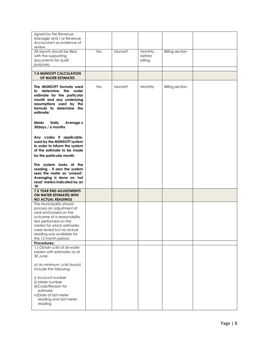| signed by the Revenue<br>Manager and / or Revenue<br>Accountant as evidence of<br>review.                                                                                                                                                           |     |         |                              |                        |  |
|-----------------------------------------------------------------------------------------------------------------------------------------------------------------------------------------------------------------------------------------------------|-----|---------|------------------------------|------------------------|--|
| All reports should be filed<br>with the supporting<br>documents for audit<br>purposes.                                                                                                                                                              | Yes | Munsoft | Monthly<br>before<br>billing | <b>Billing section</b> |  |
| 7.4 MUNSOFT CALCULATION<br>OF WATER ESTIMATES                                                                                                                                                                                                       |     |         |                              |                        |  |
| The MUNSOFT formula used<br>to determine the water<br>estimate for the particular<br>month and any underlying<br>assumptions used by the<br>formula to determine the<br>estimate:                                                                   | Yes | Munsoft | Monthly                      | <b>Billing section</b> |  |
| Meter<br>Daily<br>Average x<br>30days / 6 months                                                                                                                                                                                                    |     |         |                              |                        |  |
| Any codes if applicable,<br>used by the MUNSOFT system<br>in order to inform the system<br>of the estimate to be made<br>for the particular month.                                                                                                  |     |         |                              |                        |  |
| The system looks at the<br>reading - if zero the system<br>sees the meter as 'unread'.<br>Averaging is done on 'not<br>read' meters indicated by an<br>'N'                                                                                          |     |         |                              |                        |  |
| 7.5 YEAR END ADJUSTMENTS<br>ON WATER ESTIMATES WITH<br><b>NO ACTUAL READINGS</b>                                                                                                                                                                    |     |         |                              |                        |  |
| The Municipality should<br>process an adjustment at<br>year end based on the<br>outcome of a reasonability<br>test performed on the<br>meters for which estimates<br>were levied but no actual<br>reading was available for<br>the 12 month period. |     |         |                              |                        |  |
| Procedures:<br>1.) Obtain a list of all water<br>meters with estimates as at<br>30 June:                                                                                                                                                            |     |         |                              |                        |  |
| a) As minimum, a list should<br>include the following:                                                                                                                                                                                              |     |         |                              |                        |  |
| i) Account number<br>ii) Meter number<br>iii)Code/Reason for<br>estimate<br>iv)Date of last meter<br>reading and last meter<br>reading                                                                                                              |     |         |                              |                        |  |